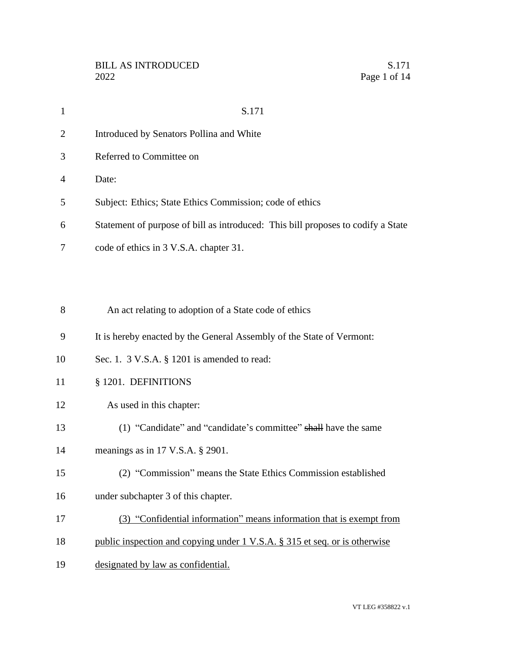|                | S.171                                                                            |
|----------------|----------------------------------------------------------------------------------|
| 2              | Introduced by Senators Pollina and White                                         |
| 3              | Referred to Committee on                                                         |
| $\overline{4}$ | Date:                                                                            |
| 5              | Subject: Ethics; State Ethics Commission; code of ethics                         |
| 6              | Statement of purpose of bill as introduced: This bill proposes to codify a State |
|                | code of ethics in 3 V.S.A. chapter 31.                                           |

An act relating to adoption of a State code of ethics

- It is hereby enacted by the General Assembly of the State of Vermont:
- Sec. 1. 3 V.S.A. § 1201 is amended to read:
- § 1201. DEFINITIONS
- As used in this chapter:
- (1) "Candidate" and "candidate's committee" shall have the same
- meanings as in 17 V.S.A. § 2901.
- (2) "Commission" means the State Ethics Commission established
- under subchapter 3 of this chapter.
- (3) "Confidential information" means information that is exempt from
- 18 public inspection and copying under 1 V.S.A. § 315 et seq. or is otherwise
- designated by law as confidential.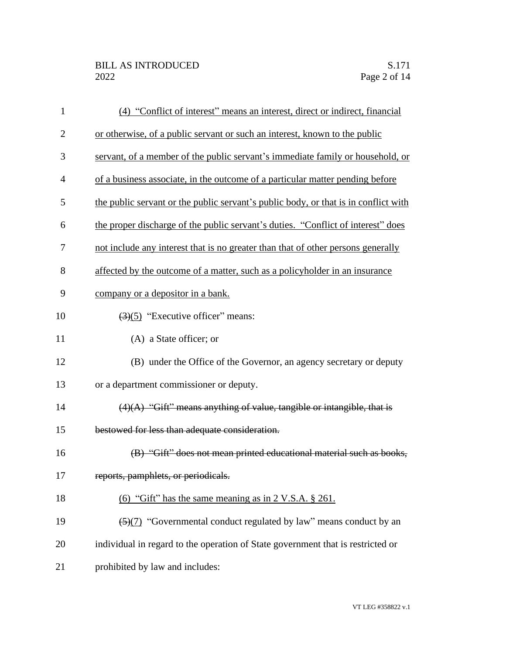| $\mathbf{1}$   | (4) "Conflict of interest" means an interest, direct or indirect, financial         |
|----------------|-------------------------------------------------------------------------------------|
| $\overline{2}$ | or otherwise, of a public servant or such an interest, known to the public          |
| 3              | servant, of a member of the public servant's immediate family or household, or      |
| $\overline{4}$ | of a business associate, in the outcome of a particular matter pending before       |
| 5              | the public servant or the public servant's public body, or that is in conflict with |
| 6              | the proper discharge of the public servant's duties. "Conflict of interest" does    |
| 7              | not include any interest that is no greater than that of other persons generally    |
| 8              | affected by the outcome of a matter, such as a policyholder in an insurance         |
| 9              | company or a depositor in a bank.                                                   |
| 10             | $(3)(5)$ "Executive officer" means:                                                 |
| 11             | (A) a State officer; or                                                             |
| 12             | (B) under the Office of the Governor, an agency secretary or deputy                 |
| 13             | or a department commissioner or deputy.                                             |
| 14             | $(4)(A)$ "Gift" means anything of value, tangible or intangible, that is            |
| 15             | bestowed for less than adequate consideration.                                      |
| 16             | (B) "Gift" does not mean printed educational material such as books,                |
| 17             | reports, pamphlets, or periodicals.                                                 |
| 18             | (6) "Gift" has the same meaning as in $2 \text{ V.S.A. }$ \$ 261.                   |
| 19             | (5)(7) "Governmental conduct regulated by law" means conduct by an                  |
| 20             | individual in regard to the operation of State government that is restricted or     |
| 21             | prohibited by law and includes:                                                     |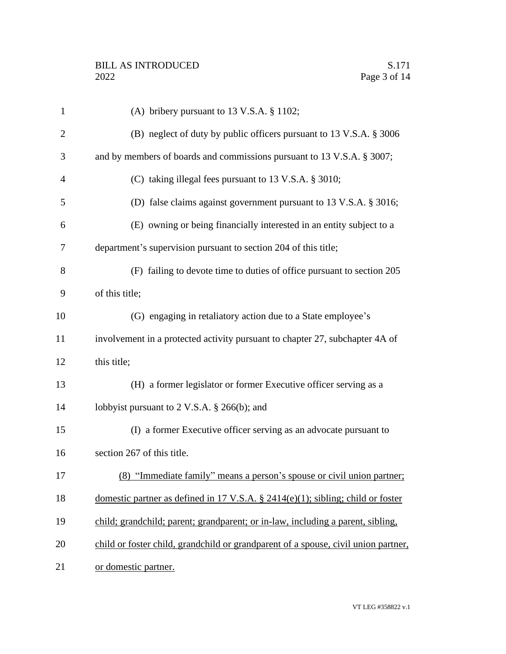| $\mathbf{1}$   | (A) bribery pursuant to 13 V.S.A. § 1102;                                          |
|----------------|------------------------------------------------------------------------------------|
| $\overline{2}$ | (B) neglect of duty by public officers pursuant to 13 V.S.A. § 3006                |
| 3              | and by members of boards and commissions pursuant to 13 V.S.A. § 3007;             |
| $\overline{4}$ | (C) taking illegal fees pursuant to 13 V.S.A. § 3010;                              |
| 5              | (D) false claims against government pursuant to 13 V.S.A. § 3016;                  |
| 6              | (E) owning or being financially interested in an entity subject to a               |
| 7              | department's supervision pursuant to section 204 of this title;                    |
| 8              | (F) failing to devote time to duties of office pursuant to section 205             |
| 9              | of this title;                                                                     |
| 10             | (G) engaging in retaliatory action due to a State employee's                       |
| 11             | involvement in a protected activity pursuant to chapter 27, subchapter 4A of       |
| 12             | this title;                                                                        |
| 13             | (H) a former legislator or former Executive officer serving as a                   |
| 14             | lobbyist pursuant to 2 V.S.A. § 266(b); and                                        |
| 15             | (I) a former Executive officer serving as an advocate pursuant to                  |
| 16             | section 267 of this title.                                                         |
| 17             | (8) "Immediate family" means a person's spouse or civil union partner;             |
| 18             | domestic partner as defined in 17 V.S.A. $\S$ 2414(e)(1); sibling; child or foster |
| 19             | child; grandchild; parent; grandparent; or in-law, including a parent, sibling,    |
| 20             | child or foster child, grandchild or grandparent of a spouse, civil union partner, |
| 21             | or domestic partner.                                                               |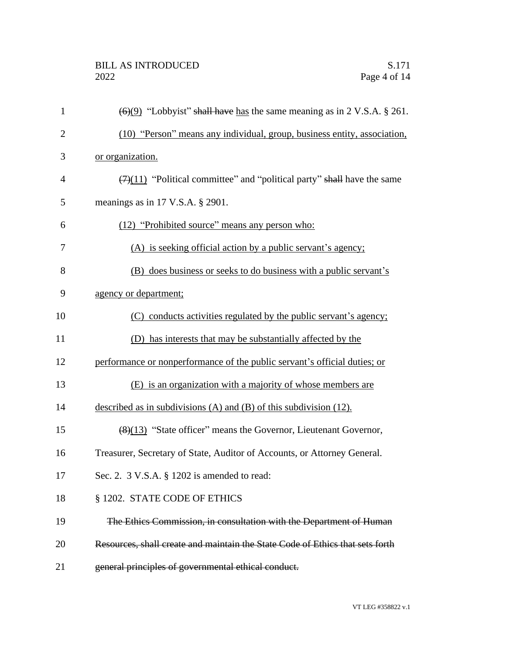| $\mathbf{1}$   | $\left(\frac{6}{9}\right)$ "Lobby ist" shall have has the same meaning as in 2 V.S.A. § 261. |
|----------------|----------------------------------------------------------------------------------------------|
| $\overline{2}$ | (10) "Person" means any individual, group, business entity, association,                     |
| 3              | or organization.                                                                             |
| $\overline{4}$ | $\left(\frac{7}{11}\right)$ "Political committee" and "political party" shall have the same  |
| 5              | meanings as in $17$ V.S.A. § 2901.                                                           |
| 6              | (12) "Prohibited source" means any person who:                                               |
| 7              | (A) is seeking official action by a public servant's agency;                                 |
| 8              | (B) does business or seeks to do business with a public servant's                            |
| 9              | agency or department;                                                                        |
| 10             | (C) conducts activities regulated by the public servant's agency;                            |
| 11             | (D) has interests that may be substantially affected by the                                  |
| 12             | performance or nonperformance of the public servant's official duties; or                    |
| 13             | (E) is an organization with a majority of whose members are                                  |
| 14             | described as in subdivisions $(A)$ and $(B)$ of this subdivision $(12)$ .                    |
| 15             | $(8)(13)$ "State officer" means the Governor, Lieutenant Governor,                           |
| 16             | Treasurer, Secretary of State, Auditor of Accounts, or Attorney General.                     |
| 17             | Sec. 2. 3 V.S.A. § 1202 is amended to read:                                                  |
| 18             | § 1202. STATE CODE OF ETHICS                                                                 |
| 19             | The Ethics Commission, in consultation with the Department of Human                          |
| 20             | Resources, shall create and maintain the State Code of Ethics that sets forth                |
| 21             | general principles of governmental ethical conduct.                                          |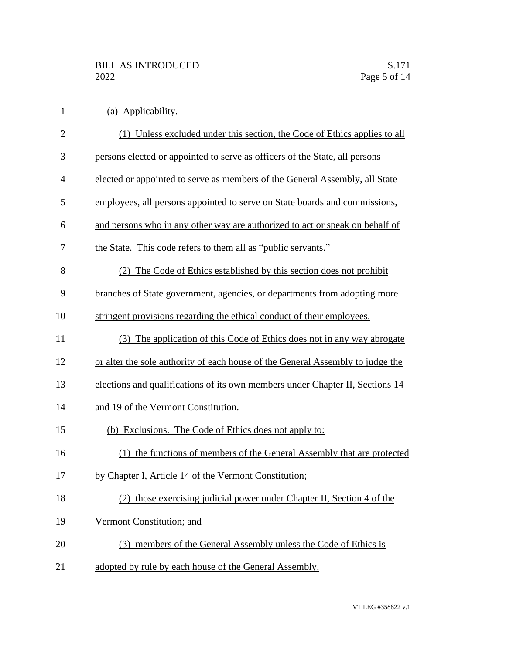| $\mathbf{1}$   | (a) Applicability.                                                             |
|----------------|--------------------------------------------------------------------------------|
| $\overline{2}$ | (1) Unless excluded under this section, the Code of Ethics applies to all      |
| 3              | persons elected or appointed to serve as officers of the State, all persons    |
| $\overline{4}$ | elected or appointed to serve as members of the General Assembly, all State    |
| 5              | employees, all persons appointed to serve on State boards and commissions,     |
| 6              | and persons who in any other way are authorized to act or speak on behalf of   |
| 7              | the State. This code refers to them all as "public servants."                  |
| 8              | (2) The Code of Ethics established by this section does not prohibit           |
| 9              | branches of State government, agencies, or departments from adopting more      |
| 10             | stringent provisions regarding the ethical conduct of their employees.         |
| 11             | (3) The application of this Code of Ethics does not in any way abrogate        |
| 12             | or alter the sole authority of each house of the General Assembly to judge the |
| 13             | elections and qualifications of its own members under Chapter II, Sections 14  |
| 14             | and 19 of the Vermont Constitution.                                            |
| 15             | (b) Exclusions. The Code of Ethics does not apply to:                          |
| 16             | (1) the functions of members of the General Assembly that are protected        |
| 17             | by Chapter I, Article 14 of the Vermont Constitution;                          |
| 18             | (2) those exercising judicial power under Chapter II, Section 4 of the         |
| 19             | Vermont Constitution; and                                                      |
| 20             | (3) members of the General Assembly unless the Code of Ethics is               |
|                |                                                                                |

21 adopted by rule by each house of the General Assembly.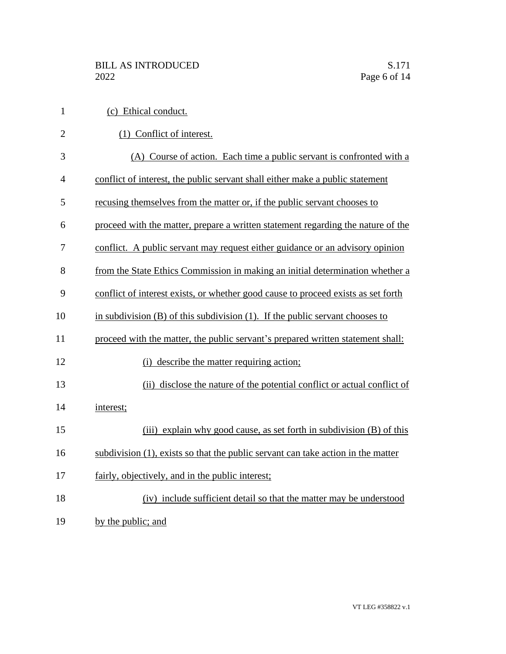| $\mathbf{1}$   | (c) Ethical conduct.                                                              |
|----------------|-----------------------------------------------------------------------------------|
| $\overline{2}$ | (1) Conflict of interest.                                                         |
| 3              | (A) Course of action. Each time a public servant is confronted with a             |
| 4              | conflict of interest, the public servant shall either make a public statement     |
| 5              | recusing themselves from the matter or, if the public servant chooses to          |
| 6              | proceed with the matter, prepare a written statement regarding the nature of the  |
| 7              | conflict. A public servant may request either guidance or an advisory opinion     |
| 8              | from the State Ethics Commission in making an initial determination whether a     |
| 9              | conflict of interest exists, or whether good cause to proceed exists as set forth |
| 10             | in subdivision $(B)$ of this subdivision $(1)$ . If the public servant chooses to |
| 11             | proceed with the matter, the public servant's prepared written statement shall:   |
| 12             | (i) describe the matter requiring action;                                         |
| 13             | (ii) disclose the nature of the potential conflict or actual conflict of          |
| 14             | interest;                                                                         |
| 15             | (iii) explain why good cause, as set forth in subdivision (B) of this             |
| 16             | subdivision (1), exists so that the public servant can take action in the matter  |
| 17             | fairly, objectively, and in the public interest;                                  |
| 18             | (iv) include sufficient detail so that the matter may be understood               |
| 19             | by the public; and                                                                |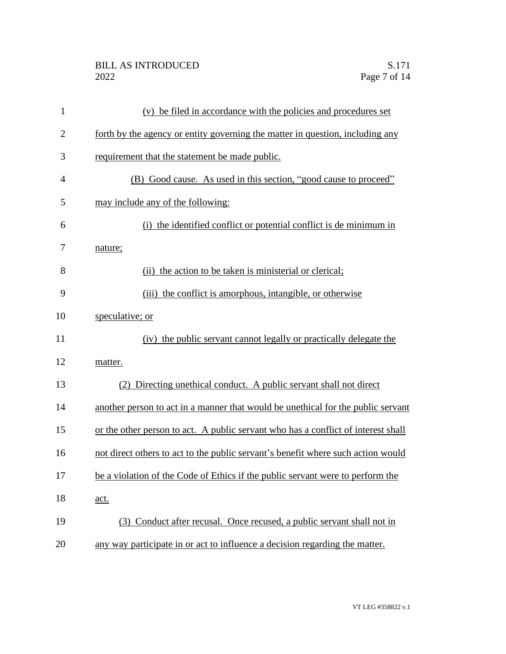| $\mathbf{1}$   | (v) be filed in accordance with the policies and procedures set                   |
|----------------|-----------------------------------------------------------------------------------|
| $\overline{2}$ | forth by the agency or entity governing the matter in question, including any     |
| 3              | requirement that the statement be made public.                                    |
| $\overline{4}$ | (B) Good cause. As used in this section, "good cause to proceed"                  |
| 5              | may include any of the following:                                                 |
| 6              | the identified conflict or potential conflict is de minimum in<br>(i)             |
| 7              | nature;                                                                           |
| 8              | (ii) the action to be taken is ministerial or clerical;                           |
| 9              | (iii) the conflict is amorphous, intangible, or otherwise                         |
| 10             | speculative; or                                                                   |
| 11             | (iv) the public servant cannot legally or practically delegate the                |
| 12             | matter.                                                                           |
| 13             | (2) Directing unethical conduct. A public servant shall not direct                |
| 14             | another person to act in a manner that would be unethical for the public servant  |
| 15             | or the other person to act. A public servant who has a conflict of interest shall |
| 16             | not direct others to act to the public servant's benefit where such action would  |
| 17             | be a violation of the Code of Ethics if the public servant were to perform the    |
| 18             | act.                                                                              |
| 19             | (3) Conduct after recusal. Once recused, a public servant shall not in            |
| 20             | any way participate in or act to influence a decision regarding the matter.       |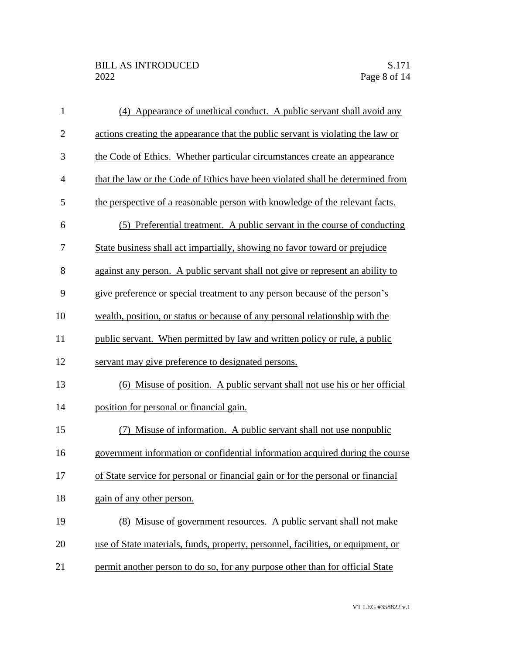| $\mathbf{1}$   | (4) Appearance of unethical conduct. A public servant shall avoid any            |
|----------------|----------------------------------------------------------------------------------|
| $\mathbf{2}$   | actions creating the appearance that the public servant is violating the law or  |
| 3              | the Code of Ethics. Whether particular circumstances create an appearance        |
| $\overline{4}$ | that the law or the Code of Ethics have been violated shall be determined from   |
| 5              | the perspective of a reasonable person with knowledge of the relevant facts.     |
| 6              | (5) Preferential treatment. A public servant in the course of conducting         |
| 7              | State business shall act impartially, showing no favor toward or prejudice       |
| 8              | against any person. A public servant shall not give or represent an ability to   |
| 9              | give preference or special treatment to any person because of the person's       |
| 10             | wealth, position, or status or because of any personal relationship with the     |
| 11             | public servant. When permitted by law and written policy or rule, a public       |
| 12             | servant may give preference to designated persons.                               |
| 13             | (6) Misuse of position. A public servant shall not use his or her official       |
| 14             | position for personal or financial gain.                                         |
| 15             | Misuse of information. A public servant shall not use nonpublic<br>(7)           |
| 16             | government information or confidential information acquired during the course    |
| 17             | of State service for personal or financial gain or for the personal or financial |
| 18             | gain of any other person.                                                        |
| 19             | (8) Misuse of government resources. A public servant shall not make              |
| 20             | use of State materials, funds, property, personnel, facilities, or equipment, or |
| 21             | permit another person to do so, for any purpose other than for official State    |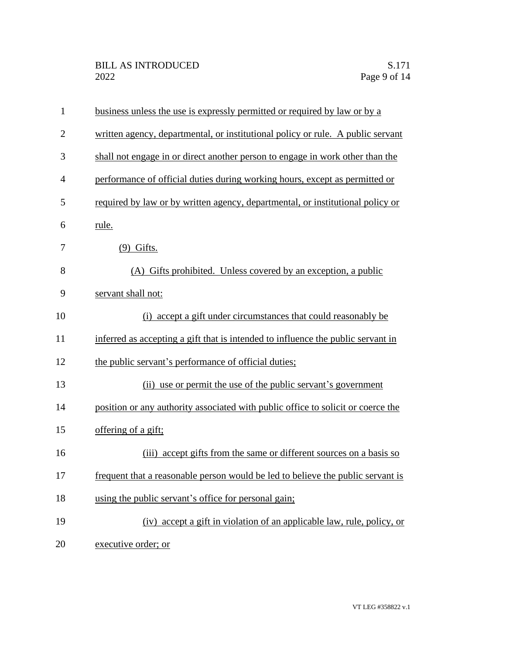| $\mathbf{1}$   | business unless the use is expressly permitted or required by law or by a        |
|----------------|----------------------------------------------------------------------------------|
| $\overline{2}$ | written agency, departmental, or institutional policy or rule. A public servant  |
| 3              | shall not engage in or direct another person to engage in work other than the    |
| $\overline{4}$ | performance of official duties during working hours, except as permitted or      |
| 5              | required by law or by written agency, departmental, or institutional policy or   |
| 6              | rule.                                                                            |
| 7              | $(9)$ Gifts.                                                                     |
| 8              | (A) Gifts prohibited. Unless covered by an exception, a public                   |
| 9              | servant shall not:                                                               |
| 10             | (i) accept a gift under circumstances that could reasonably be                   |
| 11             | inferred as accepting a gift that is intended to influence the public servant in |
| 12             | the public servant's performance of official duties;                             |
| 13             | (ii) use or permit the use of the public servant's government                    |
| 14             | position or any authority associated with public office to solicit or coerce the |
| 15             | offering of a gift;                                                              |
| 16             | accept gifts from the same or different sources on a basis so<br>(iii)           |
| 17             | frequent that a reasonable person would be led to believe the public servant is  |
| 18             | using the public servant's office for personal gain;                             |
| 19             | (iv) accept a gift in violation of an applicable law, rule, policy, or           |
| 20             | executive order; or                                                              |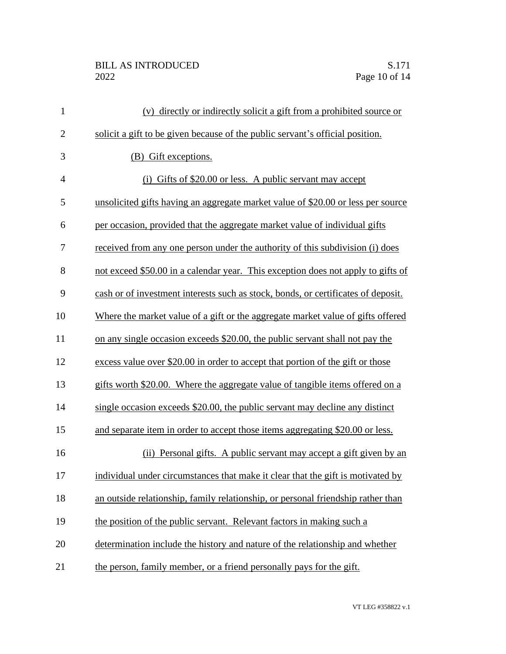## BILL AS INTRODUCED<br>2022 Page 10 of 14

| $\mathbf{1}$   | (v) directly or indirectly solicit a gift from a prohibited source or             |
|----------------|-----------------------------------------------------------------------------------|
| $\mathbf{2}$   | solicit a gift to be given because of the public servant's official position.     |
| 3              | (B) Gift exceptions.                                                              |
| $\overline{4}$ | (i) Gifts of \$20.00 or less. A public servant may accept                         |
| 5              | unsolicited gifts having an aggregate market value of \$20.00 or less per source  |
| 6              | per occasion, provided that the aggregate market value of individual gifts        |
| 7              | received from any one person under the authority of this subdivision (i) does     |
| 8              | not exceed \$50.00 in a calendar year. This exception does not apply to gifts of  |
| 9              | cash or of investment interests such as stock, bonds, or certificates of deposit. |
| 10             | Where the market value of a gift or the aggregate market value of gifts offered   |
| 11             | on any single occasion exceeds \$20.00, the public servant shall not pay the      |
| 12             | excess value over \$20.00 in order to accept that portion of the gift or those    |
| 13             | gifts worth \$20.00. Where the aggregate value of tangible items offered on a     |
| 14             | single occasion exceeds \$20.00, the public servant may decline any distinct      |
| 15             | and separate item in order to accept those items aggregating \$20.00 or less.     |
| 16             | (ii) Personal gifts. A public servant may accept a gift given by an               |
| 17             | individual under circumstances that make it clear that the gift is motivated by   |
| 18             | an outside relationship, family relationship, or personal friendship rather than  |
| 19             | the position of the public servant. Relevant factors in making such a             |
| 20             | determination include the history and nature of the relationship and whether      |
| 21             | the person, family member, or a friend personally pays for the gift.              |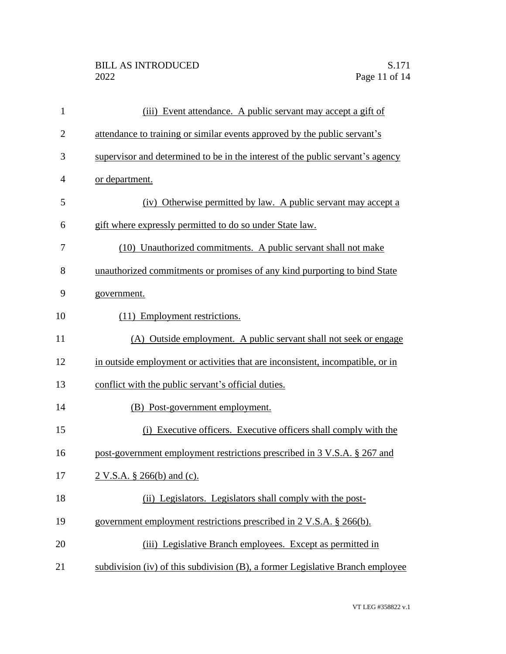| $\mathbf{1}$   | (iii) Event attendance. A public servant may accept a gift of                  |
|----------------|--------------------------------------------------------------------------------|
| $\overline{2}$ | attendance to training or similar events approved by the public servant's      |
| 3              | supervisor and determined to be in the interest of the public servant's agency |
| $\overline{4}$ | or department.                                                                 |
| 5              | (iv) Otherwise permitted by law. A public servant may accept a                 |
| 6              | gift where expressly permitted to do so under State law.                       |
| 7              | (10) Unauthorized commitments. A public servant shall not make                 |
| 8              | unauthorized commitments or promises of any kind purporting to bind State      |
| 9              | government.                                                                    |
| 10             | (11) Employment restrictions.                                                  |
| 11             | (A) Outside employment. A public servant shall not seek or engage              |
| 12             | in outside employment or activities that are inconsistent, incompatible, or in |
| 13             | conflict with the public servant's official duties.                            |
| 14             | (B) Post-government employment.                                                |
| 15             | (i) Executive officers. Executive officers shall comply with the               |
| 16             | post-government employment restrictions prescribed in 3 V.S.A. § 267 and       |
| 17             | 2 V.S.A. § 266(b) and (c).                                                     |
| 18             | (ii) Legislators. Legislators shall comply with the post-                      |
| 19             | government employment restrictions prescribed in 2 V.S.A. § 266(b).            |
| 20             | (iii) Legislative Branch employees. Except as permitted in                     |
| 21             | subdivision (iv) of this subdivision (B), a former Legislative Branch employee |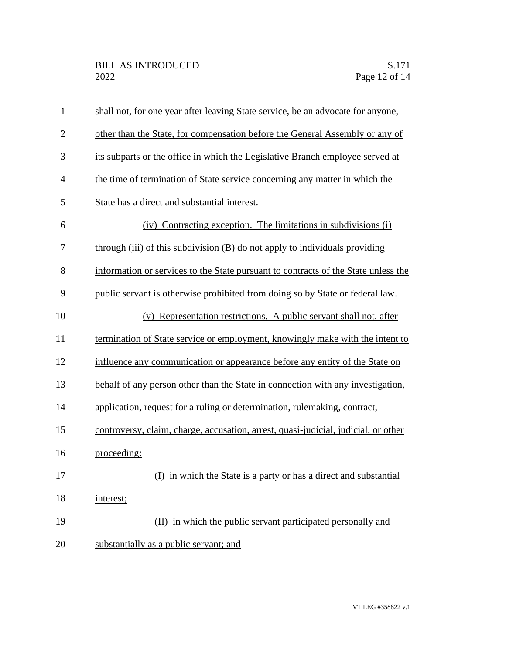| $\mathbf{1}$   | shall not, for one year after leaving State service, be an advocate for anyone,    |
|----------------|------------------------------------------------------------------------------------|
| $\overline{2}$ | other than the State, for compensation before the General Assembly or any of       |
| 3              | its subparts or the office in which the Legislative Branch employee served at      |
| $\overline{4}$ | the time of termination of State service concerning any matter in which the        |
| 5              | State has a direct and substantial interest.                                       |
| 6              | (iv) Contracting exception. The limitations in subdivisions (i)                    |
| 7              | through (iii) of this subdivision (B) do not apply to individuals providing        |
| 8              | information or services to the State pursuant to contracts of the State unless the |
| 9              | public servant is otherwise prohibited from doing so by State or federal law.      |
| 10             | (v) Representation restrictions. A public servant shall not, after                 |
| 11             | termination of State service or employment, knowingly make with the intent to      |
| 12             | influence any communication or appearance before any entity of the State on        |
| 13             | behalf of any person other than the State in connection with any investigation,    |
| 14             | application, request for a ruling or determination, rulemaking, contract,          |
| 15             | controversy, claim, charge, accusation, arrest, quasi-judicial, judicial, or other |
| 16             | proceeding:                                                                        |
| 17             | (I) in which the State is a party or has a direct and substantial                  |
| 18             | interest;                                                                          |
| 19             | (II) in which the public servant participated personally and                       |
| 20             | substantially as a public servant; and                                             |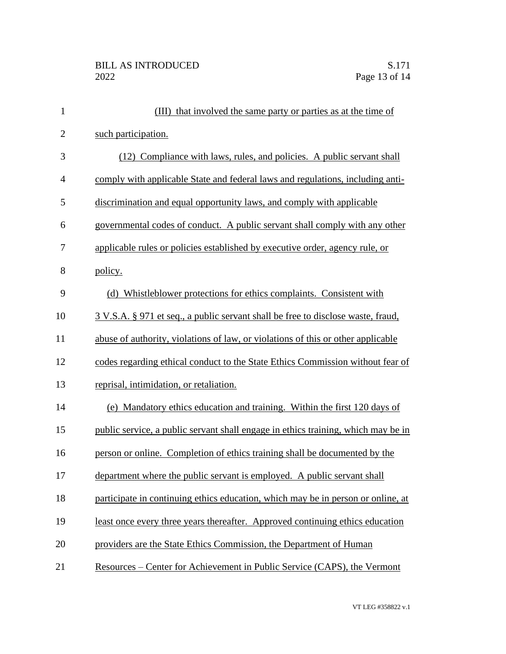| $\mathbf{1}$   | (III) that involved the same party or parties as at the time of                   |
|----------------|-----------------------------------------------------------------------------------|
| $\mathbf{2}$   | such participation.                                                               |
| 3              | (12) Compliance with laws, rules, and policies. A public servant shall            |
| $\overline{4}$ | comply with applicable State and federal laws and regulations, including anti-    |
| 5              | discrimination and equal opportunity laws, and comply with applicable             |
| 6              | governmental codes of conduct. A public servant shall comply with any other       |
| 7              | applicable rules or policies established by executive order, agency rule, or      |
| 8              | policy.                                                                           |
| 9              | (d) Whistleblower protections for ethics complaints. Consistent with              |
| 10             | 3 V.S.A. § 971 et seq., a public servant shall be free to disclose waste, fraud,  |
| 11             | abuse of authority, violations of law, or violations of this or other applicable  |
| 12             | codes regarding ethical conduct to the State Ethics Commission without fear of    |
| 13             | reprisal, intimidation, or retaliation.                                           |
| 14             | (e) Mandatory ethics education and training. Within the first 120 days of         |
| 15             | public service, a public servant shall engage in ethics training, which may be in |
| 16             | person or online. Completion of ethics training shall be documented by the        |
| 17             | department where the public servant is employed. A public servant shall           |
| 18             | participate in continuing ethics education, which may be in person or online, at  |
| 19             | least once every three years thereafter. Approved continuing ethics education     |
| 20             | providers are the State Ethics Commission, the Department of Human                |
| 21             | Resources – Center for Achievement in Public Service (CAPS), the Vermont          |